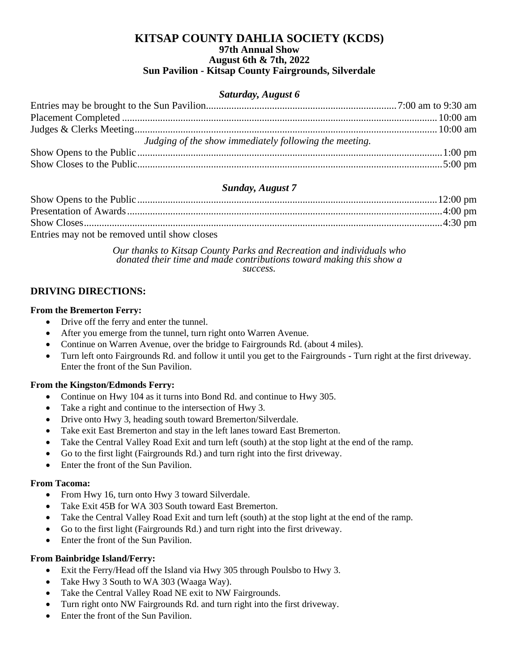### **KITSAP COUNTY DAHLIA SOCIETY (KCDS) 97th Annual Show August 6th & 7th, 2022 Sun Pavilion - Kitsap County Fairgrounds, Silverdale**

#### *Saturday, August 6*

| Judging of the show immediately following the meeting. |  |
|--------------------------------------------------------|--|
|                                                        |  |
|                                                        |  |

### *Sunday, August 7*

| Entries may not be removed until show closes |  |
|----------------------------------------------|--|

*Our thanks to Kitsap County Parks and Recreation and individuals who donated their time and made contributions toward making this show a success.*

### **DRIVING DIRECTIONS:**

#### **From the Bremerton Ferry:**

- Drive off the ferry and enter the tunnel.
- After you emerge from the tunnel, turn right onto Warren Avenue.
- Continue on Warren Avenue, over the bridge to Fairgrounds Rd. (about 4 miles).
- Turn left onto Fairgrounds Rd. and follow it until you get to the Fairgrounds Turn right at the first driveway. Enter the front of the Sun Pavilion.

#### **From the Kingston/Edmonds Ferry:**

- Continue on Hwy 104 as it turns into Bond Rd. and continue to Hwy 305.
- Take a right and continue to the intersection of Hwy 3.
- Drive onto Hwy 3, heading south toward Bremerton/Silverdale.
- Take exit East Bremerton and stay in the left lanes toward East Bremerton.
- Take the Central Valley Road Exit and turn left (south) at the stop light at the end of the ramp.
- Go to the first light (Fairgrounds Rd.) and turn right into the first driveway.
- Enter the front of the Sun Pavilion.

#### **From Tacoma:**

- From Hwy 16, turn onto Hwy 3 toward Silverdale.
- Take Exit 45B for WA 303 South toward East Bremerton.
- Take the Central Valley Road Exit and turn left (south) at the stop light at the end of the ramp.
- Go to the first light (Fairgrounds Rd.) and turn right into the first driveway.
- Enter the front of the Sun Pavilion.

#### **From Bainbridge Island/Ferry:**

- Exit the Ferry/Head off the Island via Hwy 305 through Poulsbo to Hwy 3.
- Take Hwy 3 South to WA 303 (Waaga Way).
- Take the Central Valley Road NE exit to NW Fairgrounds.
- Turn right onto NW Fairgrounds Rd. and turn right into the first driveway.
- Enter the front of the Sun Pavilion.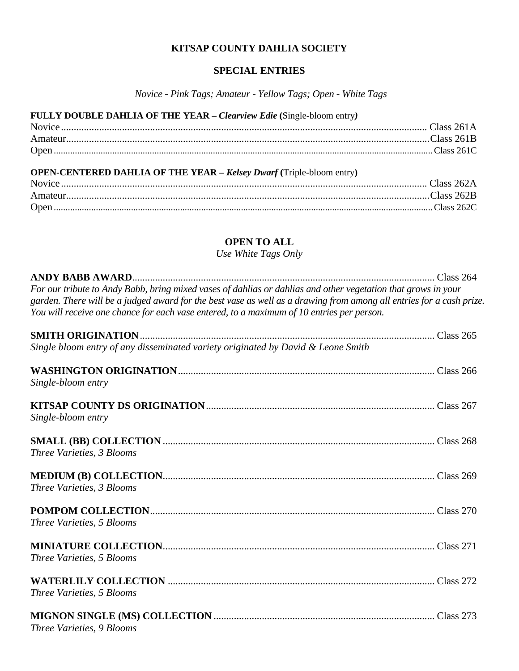# **KITSAP COUNTY DAHLIA SOCIETY**

## **SPECIAL ENTRIES**

*Novice - Pink Tags; Amateur - Yellow Tags; Open - White Tags*

| FULLY DOUBLE DAHLIA OF THE YEAR - Clearview Edie (Single-bloom entry)       |  |
|-----------------------------------------------------------------------------|--|
|                                                                             |  |
|                                                                             |  |
|                                                                             |  |
| <b>OPEN-CENTERED DAHLIA OF THE YEAR - Kelsey Dwarf (Triple-bloom entry)</b> |  |
|                                                                             |  |
|                                                                             |  |
|                                                                             |  |

# **OPEN TO ALL**

*Use White Tags Only*

| For our tribute to Andy Babb, bring mixed vases of dahlias or dahlias and other vegetation that grows in your<br>garden. There will be a judged award for the best vase as well as a drawing from among all entries for a cash prize. |  |
|---------------------------------------------------------------------------------------------------------------------------------------------------------------------------------------------------------------------------------------|--|
| You will receive one chance for each vase entered, to a maximum of 10 entries per person.                                                                                                                                             |  |
|                                                                                                                                                                                                                                       |  |
| Single bloom entry of any disseminated variety originated by David & Leone Smith                                                                                                                                                      |  |
|                                                                                                                                                                                                                                       |  |
| Single-bloom entry                                                                                                                                                                                                                    |  |
|                                                                                                                                                                                                                                       |  |
| Single-bloom entry                                                                                                                                                                                                                    |  |
|                                                                                                                                                                                                                                       |  |
| Three Varieties, 3 Blooms                                                                                                                                                                                                             |  |
|                                                                                                                                                                                                                                       |  |
| Three Varieties, 3 Blooms                                                                                                                                                                                                             |  |
|                                                                                                                                                                                                                                       |  |
| Three Varieties, 5 Blooms                                                                                                                                                                                                             |  |
|                                                                                                                                                                                                                                       |  |
| Three Varieties, 5 Blooms                                                                                                                                                                                                             |  |
|                                                                                                                                                                                                                                       |  |
| Three Varieties, 5 Blooms                                                                                                                                                                                                             |  |
|                                                                                                                                                                                                                                       |  |
| Three Varieties, 9 Blooms                                                                                                                                                                                                             |  |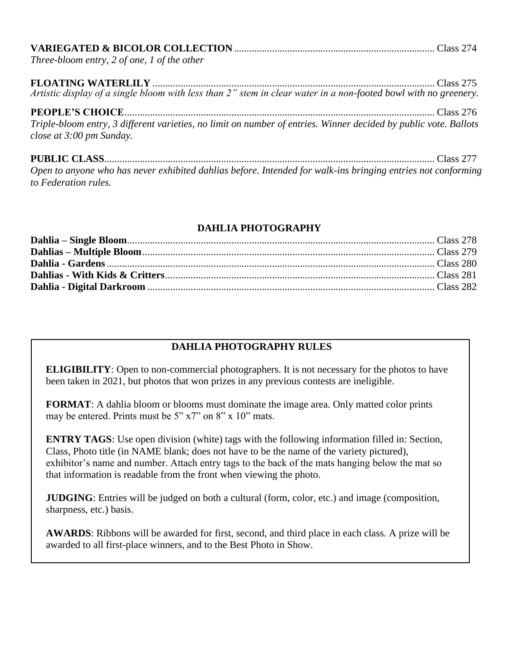| Three-bloom entry, 2 of one, 1 of the other                                                                                                  |  |  |
|----------------------------------------------------------------------------------------------------------------------------------------------|--|--|
| Artistic display of a single bloom with less than 2" stem in clear water in a non-footed bowl with no greenery.                              |  |  |
| Triple-bloom entry, 3 different varieties, no limit on number of entries. Winner decided by public vote. Ballots<br>close at 3:00 pm Sunday. |  |  |
| Open to anyone who has never exhibited dahlias before. Intended for walk-ins bringing entries not conforming<br>to Federation rules.         |  |  |

### **DAHLIA PHOTOGRAPHY**

# **DAHLIA PHOTOGRAPHY RULES**

**ELIGIBILITY**: Open to non-commercial photographers. It is not necessary for the photos to have been taken in 2021, but photos that won prizes in any previous contests are ineligible.

**FORMAT**: A dahlia bloom or blooms must dominate the image area. Only matted color prints may be entered. Prints must be 5" x7" on 8" x 10" mats.

**ENTRY TAGS**: Use open division (white) tags with the following information filled in: Section, Class, Photo title (in NAME blank; does not have to be the name of the variety pictured), exhibitor's name and number. Attach entry tags to the back of the mats hanging below the mat so that information is readable from the front when viewing the photo.

**JUDGING**: Entries will be judged on both a cultural (form, color, etc.) and image (composition, sharpness, etc.) basis.

**AWARDS**: Ribbons will be awarded for first, second, and third place in each class. A prize will be awarded to all first-place winners, and to the Best Photo in Show.